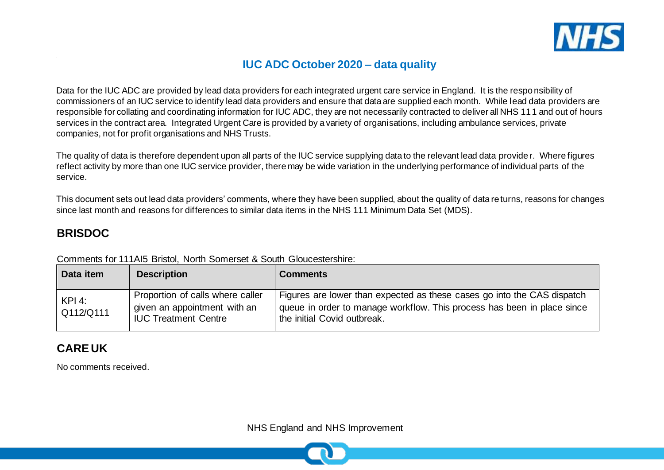

## **IUC ADC October 2020 – data quality**

Data for the IUC ADC are provided by lead data providers for each integrated urgent care service in England. It is the responsibility of commissioners of an IUC service to identify lead data providers and ensure that data are supplied each month. While lead data providers are responsible for collating and coordinating information for IUC ADC, they are not necessarily contracted to deliver all NHS 111 and out of hours services in the contract area. Integrated Urgent Care is provided by a variety of organisations, including ambulance services, private companies, not for profit organisations and NHS Trusts.

The quality of data is therefore dependent upon all parts of the IUC service supplying data to the relevant lead data provider. Where figures reflect activity by more than one IUC service provider, there may be wide variation in the underlying performance of individual parts of the service.

This document sets out lead data providers' comments, where they have been supplied, about the quality of data returns, reasons for changes since last month and reasons for differences to similar data items in the NHS 111 Minimum Data Set (MDS).

### **BRISDOC**

| Data item             | <b>Description</b>                                                                              | <b>Comments</b>                                                                                                                                                                   |
|-----------------------|-------------------------------------------------------------------------------------------------|-----------------------------------------------------------------------------------------------------------------------------------------------------------------------------------|
| $KPI$ 4:<br>Q112/Q111 | Proportion of calls where caller<br>given an appointment with an<br><b>IUC Treatment Centre</b> | Figures are lower than expected as these cases go into the CAS dispatch<br>queue in order to manage workflow. This process has been in place since<br>the initial Covid outbreak. |

Comments for 111AI5 Bristol, North Somerset & South Gloucestershire:

### **CARE UK**

No comments received.

NHS England and NHS Improvement

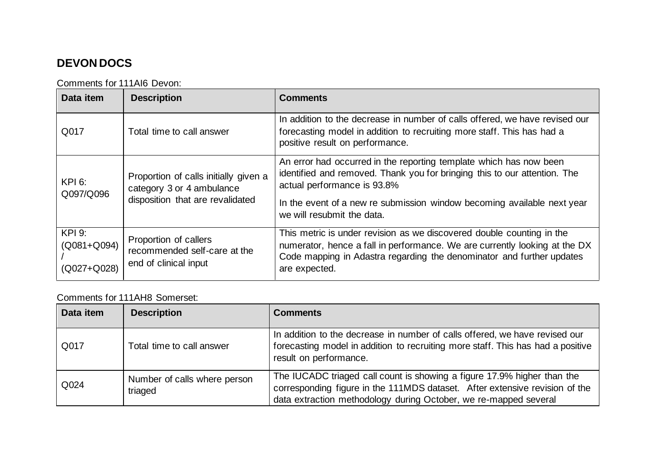# **DEVON DOCS**

Comments for 111AI6 Devon:

| Data item                                   | <b>Description</b>                                                                                     | <b>Comments</b>                                                                                                                                                                                                                                                                         |
|---------------------------------------------|--------------------------------------------------------------------------------------------------------|-----------------------------------------------------------------------------------------------------------------------------------------------------------------------------------------------------------------------------------------------------------------------------------------|
| Q017                                        | Total time to call answer                                                                              | In addition to the decrease in number of calls offered, we have revised our<br>forecasting model in addition to recruiting more staff. This has had a<br>positive result on performance.                                                                                                |
| $KPI$ 6:<br>Q097/Q096                       | Proportion of calls initially given a<br>category 3 or 4 ambulance<br>disposition that are revalidated | An error had occurred in the reporting template which has now been<br>identified and removed. Thank you for bringing this to our attention. The<br>actual performance is 93.8%<br>In the event of a new re submission window becoming available next year<br>we will resubmit the data. |
| <b>KPI 9:</b><br>(Q081+Q094)<br>(Q027+Q028) | Proportion of callers<br>recommended self-care at the<br>end of clinical input                         | This metric is under revision as we discovered double counting in the<br>numerator, hence a fall in performance. We are currently looking at the DX<br>Code mapping in Adastra regarding the denominator and further updates<br>are expected.                                           |

### Comments for 111AH8 Somerset:

| Data item | <b>Description</b>                      | <b>Comments</b>                                                                                                                                                                                                            |
|-----------|-----------------------------------------|----------------------------------------------------------------------------------------------------------------------------------------------------------------------------------------------------------------------------|
| Q017      | Total time to call answer               | In addition to the decrease in number of calls offered, we have revised our<br>forecasting model in addition to recruiting more staff. This has had a positive<br>result on performance.                                   |
| Q024      | Number of calls where person<br>triaged | The IUCADC triaged call count is showing a figure 17.9% higher than the<br>corresponding figure in the 111MDS dataset. After extensive revision of the<br>data extraction methodology during October, we re-mapped several |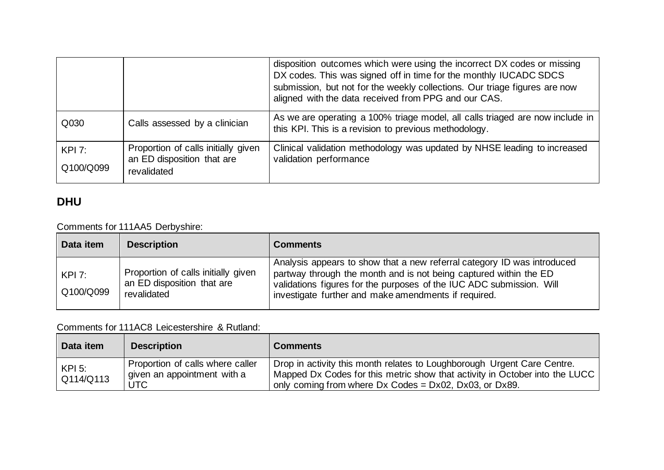|                       |                                                                                  | disposition outcomes which were using the incorrect DX codes or missing<br>DX codes. This was signed off in time for the monthly IUCADC SDCS<br>submission, but not for the weekly collections. Our triage figures are now<br>aligned with the data received from PPG and our CAS. |
|-----------------------|----------------------------------------------------------------------------------|------------------------------------------------------------------------------------------------------------------------------------------------------------------------------------------------------------------------------------------------------------------------------------|
| Q030                  | Calls assessed by a clinician                                                    | As we are operating a 100% triage model, all calls triaged are now include in<br>this KPI. This is a revision to previous methodology.                                                                                                                                             |
| $KPI$ 7:<br>Q100/Q099 | Proportion of calls initially given<br>an ED disposition that are<br>revalidated | Clinical validation methodology was updated by NHSE leading to increased<br>validation performance                                                                                                                                                                                 |

# **DHU**

### Comments for 111AA5 Derbyshire:

| Data item            | <b>Description</b>                                                               | <b>Comments</b>                                                                                                                                                                                                                                                              |
|----------------------|----------------------------------------------------------------------------------|------------------------------------------------------------------------------------------------------------------------------------------------------------------------------------------------------------------------------------------------------------------------------|
| $KPI$ :<br>Q100/Q099 | Proportion of calls initially given<br>an ED disposition that are<br>revalidated | Analysis appears to show that a new referral category ID was introduced<br>partway through the month and is not being captured within the ED<br>validations figures for the purposes of the IUC ADC submission. Will<br>investigate further and make amendments if required. |

#### Comments for 111AC8 Leicestershire & Rutland:

| Data item             | <b>Description</b>                                                     | <b>Comments</b>                                                                                                                                                                                                                 |
|-----------------------|------------------------------------------------------------------------|---------------------------------------------------------------------------------------------------------------------------------------------------------------------------------------------------------------------------------|
| $KPI$ 5:<br>Q114/Q113 | Proportion of calls where caller<br>given an appointment with a<br>UTC | Drop in activity this month relates to Loughborough Urgent Care Centre.<br>  Mapped Dx Codes for this metric show that activity in October into the LUCC  <br>only coming from where $Dx$ Codes = $Dx02$ , $Dx03$ , or $Dx89$ . |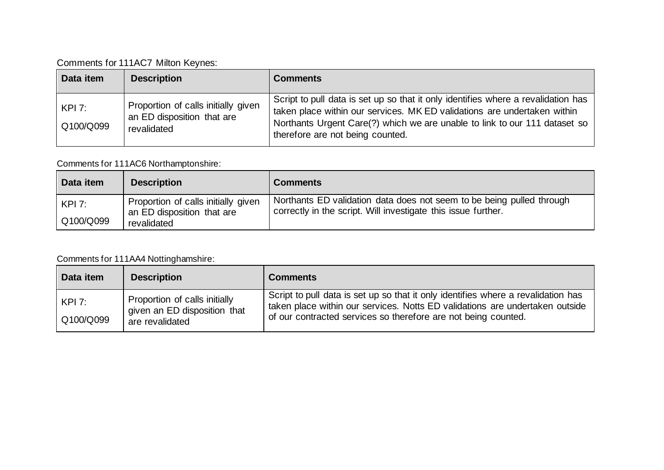Comments for 111AC7 Milton Keynes:

| Data item           | <b>Description</b>                                                               | <b>Comments</b>                                                                                                                                                                                                                                                                 |
|---------------------|----------------------------------------------------------------------------------|---------------------------------------------------------------------------------------------------------------------------------------------------------------------------------------------------------------------------------------------------------------------------------|
| KPI 7:<br>Q100/Q099 | Proportion of calls initially given<br>an ED disposition that are<br>revalidated | Script to pull data is set up so that it only identifies where a revalidation has<br>taken place within our services. MK ED validations are undertaken within<br>Northants Urgent Care(?) which we are unable to link to our 111 dataset so<br>therefore are not being counted. |

### Comments for 111AC6 Northamptonshire:

| Data item | <b>Description</b>                                                | <b>Comments</b>                                                                                                                        |
|-----------|-------------------------------------------------------------------|----------------------------------------------------------------------------------------------------------------------------------------|
| KPI 7:    | Proportion of calls initially given<br>an ED disposition that are | Northants ED validation data does not seem to be being pulled through<br>correctly in the script. Will investigate this issue further. |
| Q100/Q099 | revalidated                                                       |                                                                                                                                        |

### Comments for 111AA4 Nottinghamshire:

| Data item            | <b>Description</b>                                                               | <b>Comments</b>                                                                                                                                                                                                                     |
|----------------------|----------------------------------------------------------------------------------|-------------------------------------------------------------------------------------------------------------------------------------------------------------------------------------------------------------------------------------|
| $KPI$ :<br>Q100/Q099 | Proportion of calls initially<br>given an ED disposition that<br>are revalidated | Script to pull data is set up so that it only identifies where a revalidation has<br>taken place within our services. Notts ED validations are undertaken outside<br>of our contracted services so therefore are not being counted. |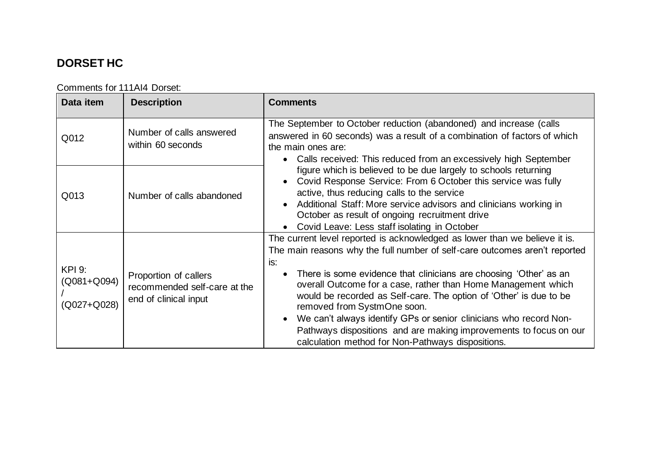# **DORSET HC**

| Data item                                   | <b>Description</b>                                                             | <b>Comments</b>                                                                                                                                                                                                                                                                                                                                                                                                                                                                                                                                                                                           |
|---------------------------------------------|--------------------------------------------------------------------------------|-----------------------------------------------------------------------------------------------------------------------------------------------------------------------------------------------------------------------------------------------------------------------------------------------------------------------------------------------------------------------------------------------------------------------------------------------------------------------------------------------------------------------------------------------------------------------------------------------------------|
| Q012                                        | Number of calls answered<br>within 60 seconds                                  | The September to October reduction (abandoned) and increase (calls<br>answered in 60 seconds) was a result of a combination of factors of which<br>the main ones are:<br>• Calls received: This reduced from an excessively high September<br>figure which is believed to be due largely to schools returning<br>Covid Response Service: From 6 October this service was fully<br>active, thus reducing calls to the service<br>Additional Staff: More service advisors and clinicians working in<br>October as result of ongoing recruitment drive<br>Covid Leave: Less staff isolating in October       |
| Q013                                        | Number of calls abandoned                                                      |                                                                                                                                                                                                                                                                                                                                                                                                                                                                                                                                                                                                           |
| <b>KPI 9:</b><br>(Q081+Q094)<br>(Q027+Q028) | Proportion of callers<br>recommended self-care at the<br>end of clinical input | The current level reported is acknowledged as lower than we believe it is.<br>The main reasons why the full number of self-care outcomes aren't reported<br>is:<br>There is some evidence that clinicians are choosing 'Other' as an<br>overall Outcome for a case, rather than Home Management which<br>would be recorded as Self-care. The option of 'Other' is due to be<br>removed from SystmOne soon.<br>We can't always identify GPs or senior clinicians who record Non-<br>Pathways dispositions and are making improvements to focus on our<br>calculation method for Non-Pathways dispositions. |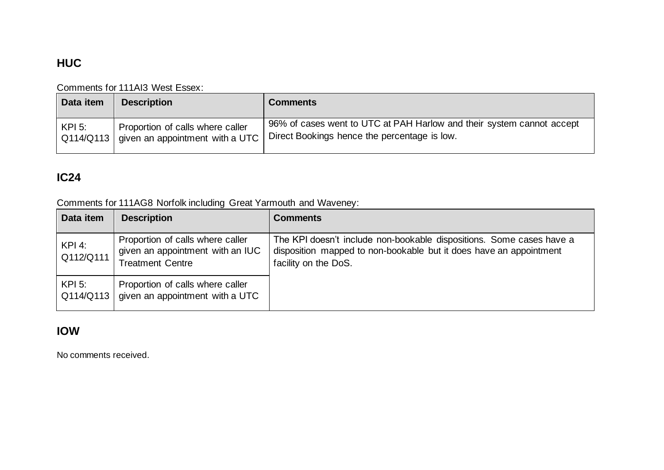# **HUC**

### Comments for 111AI3 West Essex:

| Data item | <b>Description</b>                                                                | <b>Comments</b>                                                                                                       |
|-----------|-----------------------------------------------------------------------------------|-----------------------------------------------------------------------------------------------------------------------|
| $KPI$ 5:  | Proportion of calls where caller<br>  Q114/Q113   given an appointment with a UTC | 96% of cases went to UTC at PAH Harlow and their system cannot accept<br>Direct Bookings hence the percentage is low. |

## **IC24**

Comments for 111AG8 Norfolk including Great Yarmouth and Waveney:

| Data item             | <b>Description</b>                                                                              | <b>Comments</b>                                                                                                                                                    |
|-----------------------|-------------------------------------------------------------------------------------------------|--------------------------------------------------------------------------------------------------------------------------------------------------------------------|
| KPI 4:<br>Q112/Q111   | Proportion of calls where caller<br>given an appointment with an IUC<br><b>Treatment Centre</b> | The KPI doesn't include non-bookable dispositions. Some cases have a<br>disposition mapped to non-bookable but it does have an appointment<br>facility on the DoS. |
| $KPI$ 5:<br>Q114/Q113 | Proportion of calls where caller<br>given an appointment with a UTC                             |                                                                                                                                                                    |

## **IOW**

No comments received.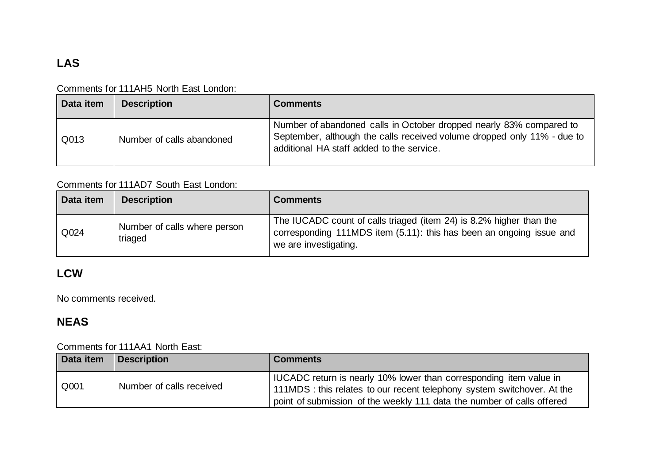# **LAS**

#### Comments for 111AH5 North East London:

| Data item | <b>Description</b>        | <b>Comments</b>                                                                                                                                                                             |
|-----------|---------------------------|---------------------------------------------------------------------------------------------------------------------------------------------------------------------------------------------|
| Q013      | Number of calls abandoned | Number of abandoned calls in October dropped nearly 83% compared to<br>September, although the calls received volume dropped only 11% - due to<br>additional HA staff added to the service. |

### Comments for 111AD7 South East London:

| Data item | <b>Description</b>                      | <b>Comments</b>                                                                                                                                                      |
|-----------|-----------------------------------------|----------------------------------------------------------------------------------------------------------------------------------------------------------------------|
| Q024      | Number of calls where person<br>triaged | The IUCADC count of calls triaged (item 24) is 8.2% higher than the<br>corresponding 111MDS item (5.11): this has been an ongoing issue and<br>we are investigating. |

## **LCW**

No comments received.

## **NEAS**

### Comments for 111AA1 North East:

| Data item | <b>Description</b>       | <b>Comments</b>                                                                                                                                                                                                           |
|-----------|--------------------------|---------------------------------------------------------------------------------------------------------------------------------------------------------------------------------------------------------------------------|
| Q001      | Number of calls received | I IUCADC return is nearly 10% lower than corresponding item value in<br>111MDS : this relates to our recent telephony system switchover. At the<br>point of submission of the weekly 111 data the number of calls offered |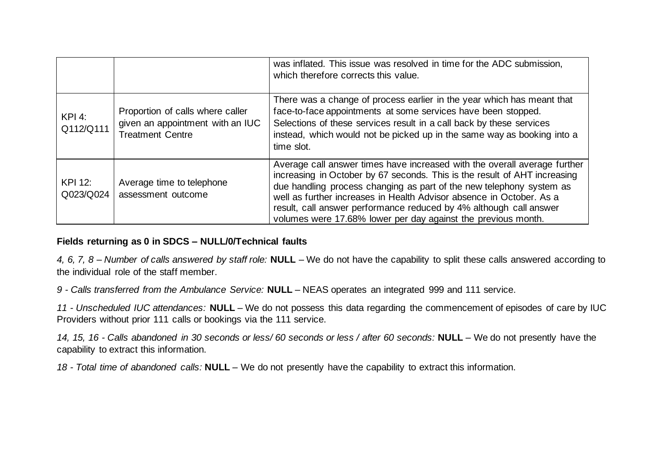|                      |                                                                                                 | was inflated. This issue was resolved in time for the ADC submission,<br>which therefore corrects this value.                                                                                                                                                                                                                                                                                                                                 |
|----------------------|-------------------------------------------------------------------------------------------------|-----------------------------------------------------------------------------------------------------------------------------------------------------------------------------------------------------------------------------------------------------------------------------------------------------------------------------------------------------------------------------------------------------------------------------------------------|
| KPI 4:<br>Q112/Q111  | Proportion of calls where caller<br>given an appointment with an IUC<br><b>Treatment Centre</b> | There was a change of process earlier in the year which has meant that<br>face-to-face appointments at some services have been stopped.<br>Selections of these services result in a call back by these services<br>instead, which would not be picked up in the same way as booking into a<br>time slot.                                                                                                                                      |
| KPI 12:<br>Q023/Q024 | Average time to telephone<br>assessment outcome                                                 | Average call answer times have increased with the overall average further<br>increasing in October by 67 seconds. This is the result of AHT increasing<br>due handling process changing as part of the new telephony system as<br>well as further increases in Health Advisor absence in October. As a<br>result, call answer performance reduced by 4% although call answer<br>volumes were 17.68% lower per day against the previous month. |

#### **Fields returning as 0 in SDCS – NULL/0/Technical faults**

*4, 6, 7, 8 – Number of calls answered by staff role:* **NULL** – We do not have the capability to split these calls answered according to the individual role of the staff member.

*9 - Calls transferred from the Ambulance Service:* **NULL** – NEAS operates an integrated 999 and 111 service.

*11 - Unscheduled IUC attendances:* **NULL** – We do not possess this data regarding the commencement of episodes of care by IUC Providers without prior 111 calls or bookings via the 111 service.

*14, 15, 16 - Calls abandoned in 30 seconds or less/ 60 seconds or less / after 60 seconds:* **NULL** – We do not presently have the capability to extract this information.

*18 - Total time of abandoned calls:* **NULL** – We do not presently have the capability to extract this information.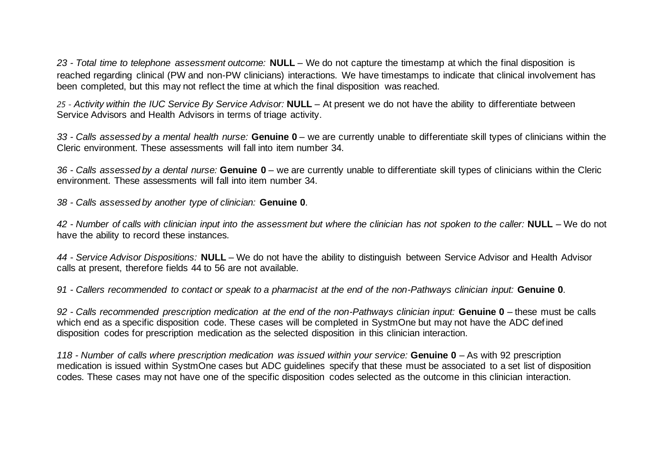*23 - Total time to telephone assessment outcome:* **NULL** – We do not capture the timestamp at which the final disposition is reached regarding clinical (PW and non-PW clinicians) interactions. We have timestamps to indicate that clinical involvement has been completed, but this may not reflect the time at which the final disposition was reached.

*25 - Activity within the IUC Service By Service Advisor:* **NULL** – At present we do not have the ability to differentiate between Service Advisors and Health Advisors in terms of triage activity.

*33 - Calls assessed by a mental health nurse:* **Genuine 0** – we are currently unable to differentiate skill types of clinicians within the Cleric environment. These assessments will fall into item number 34.

*36 - Calls assessed by a dental nurse:* **Genuine 0** – we are currently unable to differentiate skill types of clinicians within the Cleric environment. These assessments will fall into item number 34.

*38 - Calls assessed by another type of clinician:* **Genuine 0**.

*42 - Number of calls with clinician input into the assessment but where the clinician has not spoken to the caller:* **NULL** – We do not have the ability to record these instances.

*44 - Service Advisor Dispositions:* **NULL** – We do not have the ability to distinguish between Service Advisor and Health Advisor calls at present, therefore fields 44 to 56 are not available.

*91 - Callers recommended to contact or speak to a pharmacist at the end of the non-Pathways clinician input:* **Genuine 0**.

*92 - Calls recommended prescription medication at the end of the non-Pathways clinician input:* **Genuine 0** – these must be calls which end as a specific disposition code. These cases will be completed in SystmOne but may not have the ADC defined disposition codes for prescription medication as the selected disposition in this clinician interaction.

*118 - Number of calls where prescription medication was issued within your service:* **Genuine 0** – As with 92 prescription medication is issued within SystmOne cases but ADC guidelines specify that these must be associated to a set list of disposition codes. These cases may not have one of the specific disposition codes selected as the outcome in this clinician interaction.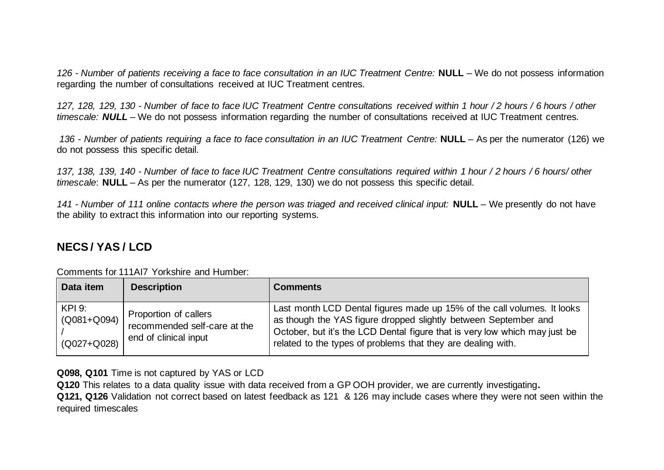*126 - Number of patients receiving a face to face consultation in an IUC Treatment Centre:* **NULL** – We do not possess information regarding the number of consultations received at IUC Treatment centres.

*127, 128, 129, 130 - Number of face to face IUC Treatment Centre consultations received within 1 hour / 2 hours / 6 hours / other timescale: NULL* – We do not possess information regarding the number of consultations received at IUC Treatment centres.

*136 - Number of patients requiring a face to face consultation in an IUC Treatment Centre:* **NULL** – As per the numerator (126) we do not possess this specific detail.

*137, 138, 139, 140 - Number of face to face IUC Treatment Centre consultations required within 1 hour / 2 hours / 6 hours/ other timescale*: **NULL** – As per the numerator (127, 128, 129, 130) we do not possess this specific detail.

*141 - Number of 111 online contacts where the person was triaged and received clinical input:* **NULL** – We presently do not have the ability to extract this information into our reporting systems.

## **NECS / YAS / LCD**

| Data item                                       | <b>Description</b>                                                             | <b>Comments</b>                                                                                                                                                                                                                                                                          |
|-------------------------------------------------|--------------------------------------------------------------------------------|------------------------------------------------------------------------------------------------------------------------------------------------------------------------------------------------------------------------------------------------------------------------------------------|
| <b>KPI 9:</b><br>(Q081+Q094)<br>$(Q027 + Q028)$ | Proportion of callers<br>recommended self-care at the<br>end of clinical input | Last month LCD Dental figures made up 15% of the call volumes. It looks<br>as though the YAS figure dropped slightly between September and<br>October, but it's the LCD Dental figure that is very low which may just be<br>related to the types of problems that they are dealing with. |

Comments for 111AI7 Yorkshire and Humber:

**Q098, Q101** Time is not captured by YAS or LCD

**Q120** This relates to a data quality issue with data received from a GP OOH provider, we are currently investigating**. Q121, Q126** Validation not correct based on latest feedback as 121 & 126 may include cases where they were not seen within the required timescales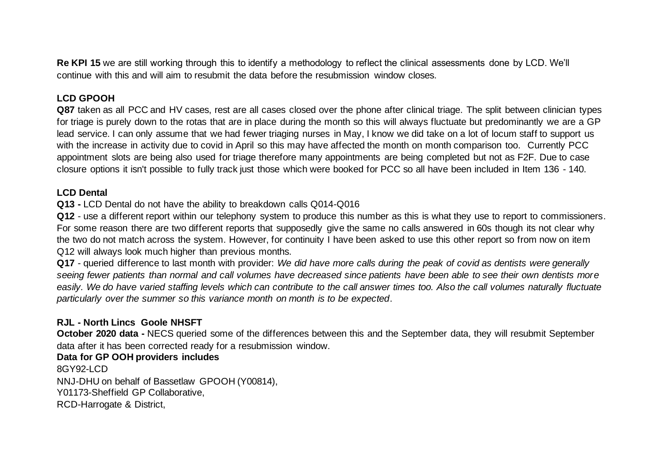**Re KPI 15** we are still working through this to identify a methodology to reflect the clinical assessments done by LCD. We'll continue with this and will aim to resubmit the data before the resubmission window closes.

### **LCD GPOOH**

Q87 taken as all PCC and HV cases, rest are all cases closed over the phone after clinical triage. The split between clinician types for triage is purely down to the rotas that are in place during the month so this will always fluctuate but predominantly we are a GP lead service. I can only assume that we had fewer triaging nurses in May, I know we did take on a lot of locum staff to support us with the increase in activity due to covid in April so this may have affected the month on month comparison too. Currently PCC appointment slots are being also used for triage therefore many appointments are being completed but not as F2F. Due to case closure options it isn't possible to fully track just those which were booked for PCC so all have been included in Item 136 - 140.

#### **LCD Dental**

**Q13 -** LCD Dental do not have the ability to breakdown calls Q014-Q016

**Q12** - use a different report within our telephony system to produce this number as this is what they use to report to commissioners. For some reason there are two different reports that supposedly give the same no calls answered in 60s though its not clear why the two do not match across the system. However, for continuity I have been asked to use this other report so from now on item Q12 will always look much higher than previous months.

**Q17** - queried difference to last month with provider: *We did have more calls during the peak of covid as dentists were generally seeing fewer patients than normal and call volumes have decreased since patients have been able to see their own dentists more easily. We do have varied staffing levels which can contribute to the call answer times too. Also the call volumes naturally fluctuate particularly over the summer so this variance month on month is to be expected*.

### **RJL - North Lincs Goole NHSFT**

**October 2020 data -** NECS queried some of the differences between this and the September data, they will resubmit September data after it has been corrected ready for a resubmission window.

### **Data for GP OOH providers includes**

8GY92-LCD NNJ-DHU on behalf of Bassetlaw GPOOH (Y00814), Y01173-Sheffield GP Collaborative, RCD-Harrogate & District,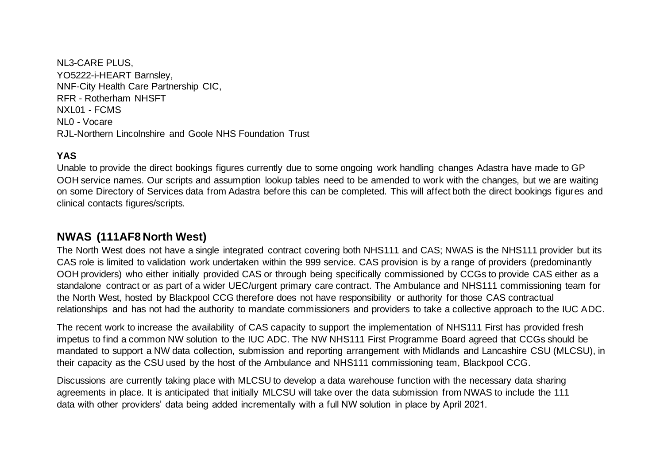NL3-CARE PLUS, YO5222-i-HEART Barnsley, NNF-City Health Care Partnership CIC, RFR - Rotherham NHSFT NXL01 - FCMS NL0 - Vocare RJL-Northern Lincolnshire and Goole NHS Foundation Trust

#### **YAS**

Unable to provide the direct bookings figures currently due to some ongoing work handling changes Adastra have made to GP OOH service names. Our scripts and assumption lookup tables need to be amended to work with the changes, but we are waiting on some Directory of Services data from Adastra before this can be completed. This will affect both the direct bookings figures and clinical contacts figures/scripts.

### **NWAS (111AF8 North West)**

The North West does not have a single integrated contract covering both NHS111 and CAS; NWAS is the NHS111 provider but its CAS role is limited to validation work undertaken within the 999 service. CAS provision is by a range of providers (predominantly OOH providers) who either initially provided CAS or through being specifically commissioned by CCGs to provide CAS either as a standalone contract or as part of a wider UEC/urgent primary care contract. The Ambulance and NHS111 commissioning team for the North West, hosted by Blackpool CCG therefore does not have responsibility or authority for those CAS contractual relationships and has not had the authority to mandate commissioners and providers to take a collective approach to the IUC ADC.

The recent work to increase the availability of CAS capacity to support the implementation of NHS111 First has provided fresh impetus to find a common NW solution to the IUC ADC. The NW NHS111 First Programme Board agreed that CCGs should be mandated to support a NW data collection, submission and reporting arrangement with Midlands and Lancashire CSU (MLCSU), in their capacity as the CSU used by the host of the Ambulance and NHS111 commissioning team, Blackpool CCG.

Discussions are currently taking place with MLCSU to develop a data warehouse function with the necessary data sharing agreements in place. It is anticipated that initially MLCSU will take over the data submission from NWAS to include the 111 data with other providers' data being added incrementally with a full NW solution in place by April 2021.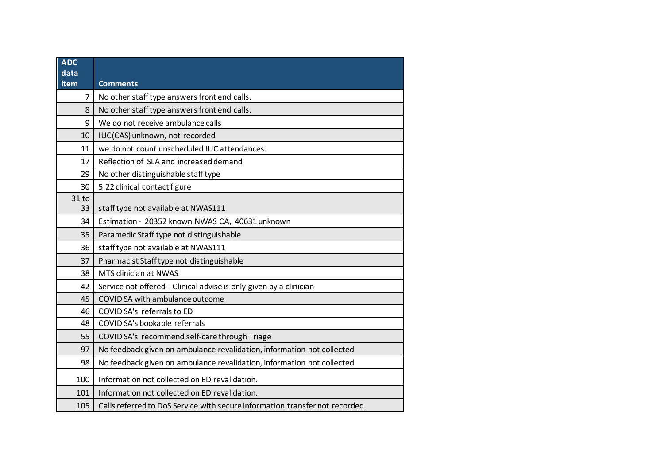| <b>ADC</b><br>data |                                                                              |
|--------------------|------------------------------------------------------------------------------|
| item               | <b>Comments</b>                                                              |
| $\overline{7}$     | No other staff type answers front end calls.                                 |
| 8                  | No other staff type answers front end calls.                                 |
| 9                  | We do not receive ambulance calls                                            |
| 10                 | IUC(CAS) unknown, not recorded                                               |
| 11                 | we do not count unscheduled IUC attendances.                                 |
| 17                 | Reflection of SLA and increased demand                                       |
| 29                 | No other distinguishable staff type                                          |
| 30                 | 5.22 clinical contact figure                                                 |
| 31 to              |                                                                              |
| 33                 | staff type not available at NWAS111                                          |
| 34                 | Estimation - 20352 known NWAS CA, 40631 unknown                              |
| 35                 | Paramedic Staff type not distinguishable                                     |
| 36                 | staff type not available at NWAS111                                          |
| 37                 | Pharmacist Staff type not distinguishable                                    |
| 38                 | MTS clinician at NWAS                                                        |
| 42                 | Service not offered - Clinical advise is only given by a clinician           |
| 45                 | COVID SA with ambulance outcome                                              |
| 46                 | COVID SA's referrals to ED                                                   |
| 48                 | COVID SA's bookable referrals                                                |
| 55                 | COVID SA's recommend self-care through Triage                                |
| 97                 | No feedback given on ambulance revalidation, information not collected       |
| 98                 | No feedback given on ambulance revalidation, information not collected       |
| 100                | Information not collected on ED revalidation.                                |
| 101                | Information not collected on ED revalidation.                                |
| 105                | Calls referred to DoS Service with secure information transfer not recorded. |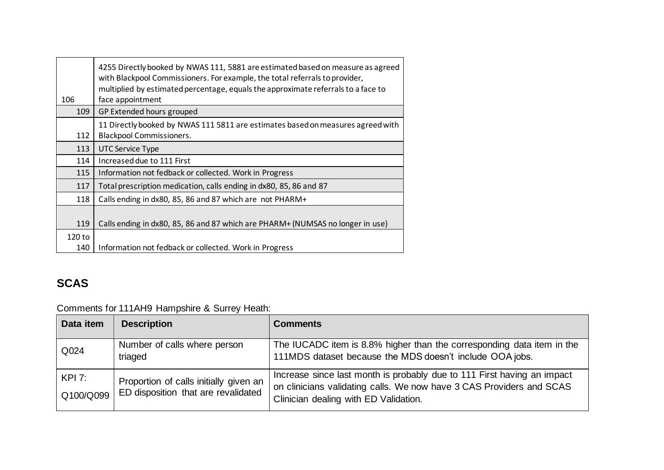| 106           | 4255 Directly booked by NWAS 111, 5881 are estimated based on measure as agreed<br>with Blackpool Commissioners. For example, the total referrals to provider,<br>multiplied by estimated percentage, equals the approximate referrals to a face to<br>face appointment |
|---------------|-------------------------------------------------------------------------------------------------------------------------------------------------------------------------------------------------------------------------------------------------------------------------|
| 109           | GP Extended hours grouped                                                                                                                                                                                                                                               |
| 112           | 11 Directly booked by NWAS 111 5811 are estimates based on measures agreed with<br><b>Blackpool Commissioners.</b>                                                                                                                                                      |
| 113           | <b>UTC Service Type</b>                                                                                                                                                                                                                                                 |
| 114           | Increased due to 111 First                                                                                                                                                                                                                                              |
| 115           | Information not fedback or collected. Work in Progress                                                                                                                                                                                                                  |
| 117           | Total prescription medication, calls ending in dx80, 85, 86 and 87                                                                                                                                                                                                      |
| 118           | Calls ending in dx80, 85, 86 and 87 which are not PHARM+                                                                                                                                                                                                                |
| 119           | Calls ending in dx80, 85, 86 and 87 which are PHARM+ (NUMSAS no longer in use)                                                                                                                                                                                          |
| 120 to<br>140 | Information not fedback or collected. Work in Progress                                                                                                                                                                                                                  |

# **SCAS**

Comments for 111AH9 Hampshire & Surrey Heath:

| Data item           | <b>Description</b>                                                            | <b>Comments</b>                                                                                                                                                                          |
|---------------------|-------------------------------------------------------------------------------|------------------------------------------------------------------------------------------------------------------------------------------------------------------------------------------|
| Q024                | Number of calls where person<br>triaged                                       | The IUCADC item is 8.8% higher than the corresponding data item in the<br>111MDS dataset because the MDS doesn't include OOA jobs.                                                       |
| KPI 7:<br>Q100/Q099 | Proportion of calls initially given an<br>ED disposition that are revalidated | Increase since last month is probably due to 111 First having an impact<br>on clinicians validating calls. We now have 3 CAS Providers and SCAS<br>Clinician dealing with ED Validation. |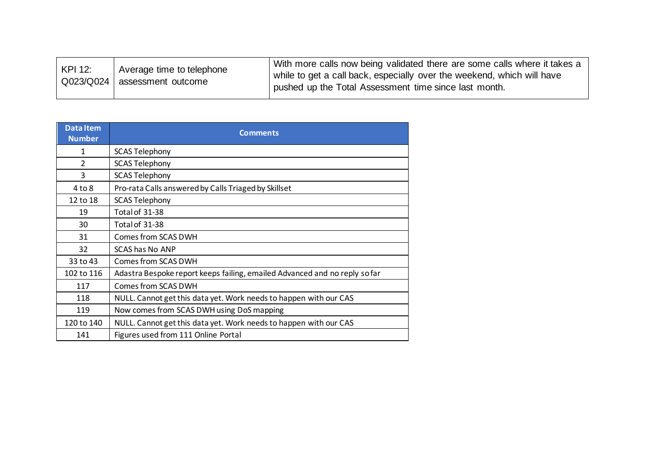| KPI 12: | Average time to telephone<br>Q023/Q024 assessment outcome | With more calls now being validated there are some calls where it takes a<br>while to get a call back, especially over the weekend, which will have<br>pushed up the Total Assessment time since last month. |
|---------|-----------------------------------------------------------|--------------------------------------------------------------------------------------------------------------------------------------------------------------------------------------------------------------|
|---------|-----------------------------------------------------------|--------------------------------------------------------------------------------------------------------------------------------------------------------------------------------------------------------------|

| <b>DataItem</b><br><b>Number</b> | <b>Comments</b>                                                            |  |
|----------------------------------|----------------------------------------------------------------------------|--|
| 1                                | <b>SCAS Telephony</b>                                                      |  |
| $\mathcal{P}$                    | <b>SCAS Telephony</b>                                                      |  |
| 3                                | <b>SCAS Telephony</b>                                                      |  |
| $4$ to $8$                       | Pro-rata Calls answered by Calls Triaged by Skillset                       |  |
| 12 to 18                         | <b>SCAS Telephony</b>                                                      |  |
| 19                               | Total of 31-38                                                             |  |
| 30                               | Total of 31-38                                                             |  |
| 31                               | Comes from SCAS DWH                                                        |  |
| 32                               | SCAS has No ANP                                                            |  |
| 33 to 43                         | Comes from SCAS DWH                                                        |  |
| 102 to 116                       | Adastra Bespoke report keeps failing, emailed Advanced and no reply so far |  |
| 117                              | Comes from SCAS DWH                                                        |  |
| 118                              | NULL. Cannot get this data yet. Work needs to happen with our CAS          |  |
| 119                              | Now comes from SCAS DWH using DoS mapping                                  |  |
| 120 to 140                       | NULL. Cannot get this data yet. Work needs to happen with our CAS          |  |
| 141                              | Figures used from 111 Online Portal                                        |  |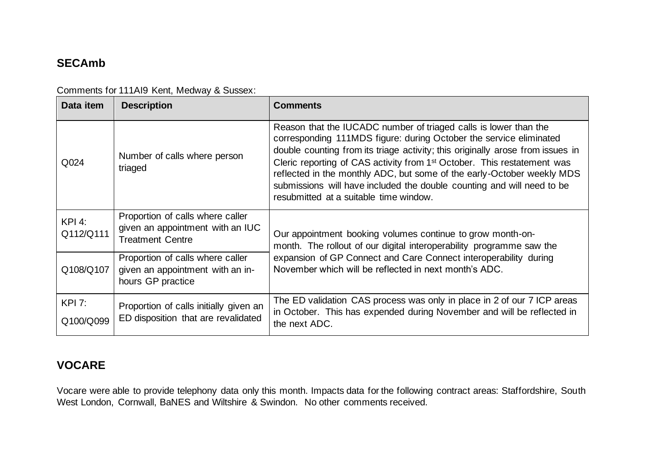## **SECAmb**

| Data item                  | <b>Description</b>                                                                              | <b>Comments</b>                                                                                                                                                                                                                                                                                                                                                                                                                                                                                               |
|----------------------------|-------------------------------------------------------------------------------------------------|---------------------------------------------------------------------------------------------------------------------------------------------------------------------------------------------------------------------------------------------------------------------------------------------------------------------------------------------------------------------------------------------------------------------------------------------------------------------------------------------------------------|
| Q024                       | Number of calls where person<br>triaged                                                         | Reason that the IUCADC number of triaged calls is lower than the<br>corresponding 111MDS figure: during October the service eliminated<br>double counting from its triage activity; this originally arose from issues in<br>Cleric reporting of CAS activity from 1 <sup>st</sup> October. This restatement was<br>reflected in the monthly ADC, but some of the early-October weekly MDS<br>submissions will have included the double counting and will need to be<br>resubmitted at a suitable time window. |
| <b>KPI 4:</b><br>Q112/Q111 | Proportion of calls where caller<br>given an appointment with an IUC<br><b>Treatment Centre</b> | Our appointment booking volumes continue to grow month-on-<br>month. The rollout of our digital interoperability programme saw the<br>expansion of GP Connect and Care Connect interoperability during<br>November which will be reflected in next month's ADC.                                                                                                                                                                                                                                               |
| Q108/Q107                  | Proportion of calls where caller<br>given an appointment with an in-<br>hours GP practice       |                                                                                                                                                                                                                                                                                                                                                                                                                                                                                                               |
| <b>KPI 7:</b><br>Q100/Q099 | Proportion of calls initially given an<br>ED disposition that are revalidated                   | The ED validation CAS process was only in place in 2 of our 7 ICP areas<br>in October. This has expended during November and will be reflected in<br>the next ADC.                                                                                                                                                                                                                                                                                                                                            |

Comments for 111AI9 Kent, Medway & Sussex:

## **VOCARE**

Vocare were able to provide telephony data only this month. Impacts data for the following contract areas: Staffordshire, South West London, Cornwall, BaNES and Wiltshire & Swindon. No other comments received.